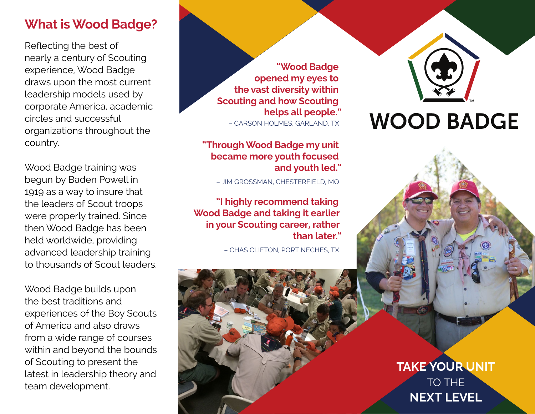# **What is Wood Badge? What is Wood Badge?**

Reflecting the best of Reflecting the best of nearly a century of Scouting nearly a century of Scouting experience, Wood Badge experience, Wood Badge draws upon the most current draws upon the most current leadership models used by leadership models used by corporate America, academic corporate America, academic circles and successful circles and successful organizations throughout the organizations throughout the country. country.

Wood Badge training was Wood Badge training was begun by Baden Powell in begun by Baden Powell in 1919 as a way to insure that 1919 as a way to insure that the leaders of Scout troops the leaders of Scout troops were properly trained. Since were properly trained. Since then Wood Badge has been then Wood Badge has been held worldwide, providing held worldwide, providing advanced leadership training advanced leadership training to thousands of Scout leaders. to thousands of Scout leaders.

Wood Badge builds upon Wood Badge builds upon the best traditions and the best traditions and experiences of the Boy Scouts experiences of the Boy Scouts of America and also draws of America and also draws from a wide range of courses from a wide range of courses within and beyond the bounds within and beyond the bounds of Scouting to present the of Scouting to present the latest in leadership theory and latest in leadership theory and team development. team development.

**"Wood Badge "Wood Badge opened my eyes to opened my eyes to the vast diversity within the vast diversity within Scouting and how Scouting Scouting and how Scouting helps all people." helps all people."** – CARSON HOLMES, GARLAND, TX – CARSON HOLMES, GARLAND, TX

#### **"Through Wood Badge my unit "Through Wood Badge my unit became more youth focused became more youth focused and youth led." and youth led."**

– JIM GROSSMAN, CHESTERFIELD, MO – JIM GROSSMAN, CHESTERFIELD, MO

**"I highly recommend taking "I highly recommend taking Wood Badge and taking it earlier Wood Badge and taking it earlier in your Scouting career, rather in your Scouting career, rather than later." than later."**

– CHAS CLIFTON, PORT NECHES, TX – CHAS CLIFTON, PORT NECHES, TX

**WOOD BADGE** 

**TAKE YOUR UNIT TAKE YOUR UNIT TAKE YOUR UNIT** TO THE TO THE TO THE **NEXT LEVEL NEXT LEVEL NEXT LEVEL**